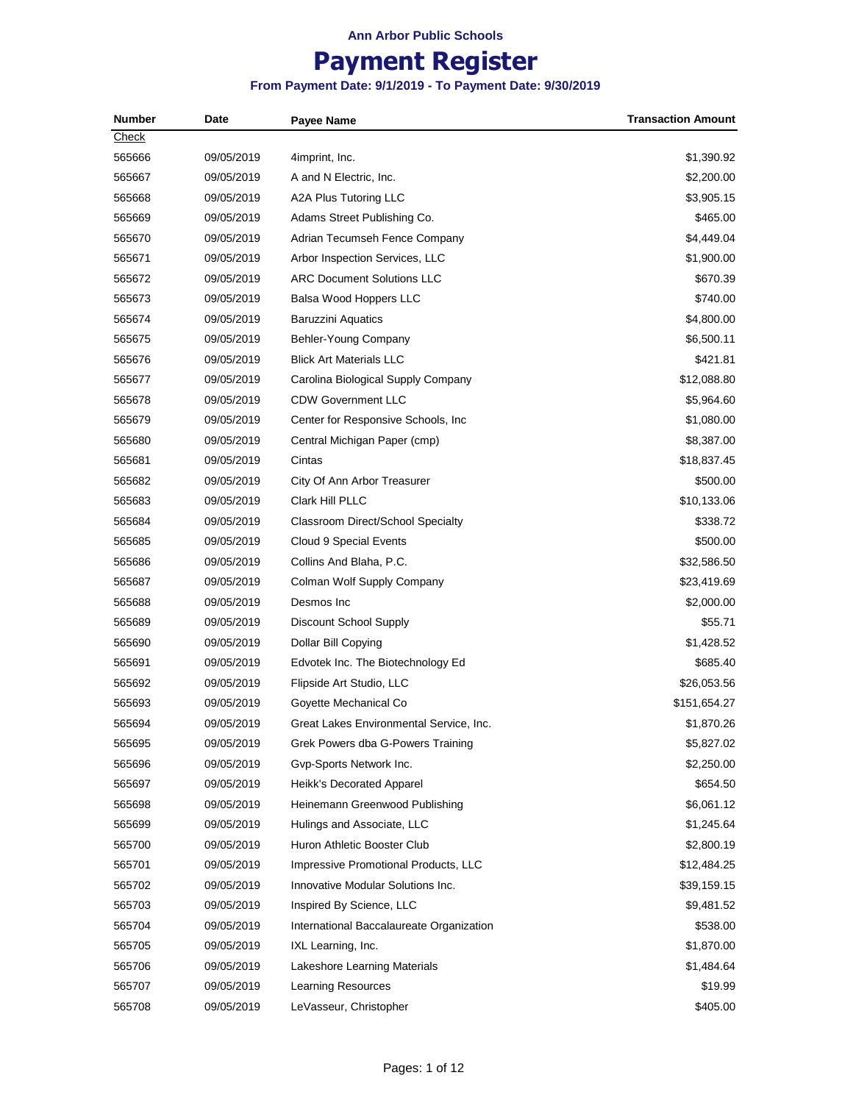# **Payment Register**

| <b>Number</b> | Date       | <b>Payee Name</b>                        | <b>Transaction Amount</b> |
|---------------|------------|------------------------------------------|---------------------------|
| Check         |            |                                          |                           |
| 565666        | 09/05/2019 | 4imprint, Inc.                           | \$1,390.92                |
| 565667        | 09/05/2019 | A and N Electric, Inc.                   | \$2,200.00                |
| 565668        | 09/05/2019 | A2A Plus Tutoring LLC                    | \$3,905.15                |
| 565669        | 09/05/2019 | Adams Street Publishing Co.              | \$465.00                  |
| 565670        | 09/05/2019 | Adrian Tecumseh Fence Company            | \$4,449.04                |
| 565671        | 09/05/2019 | Arbor Inspection Services, LLC           | \$1,900.00                |
| 565672        | 09/05/2019 | <b>ARC Document Solutions LLC</b>        | \$670.39                  |
| 565673        | 09/05/2019 | Balsa Wood Hoppers LLC                   | \$740.00                  |
| 565674        | 09/05/2019 | <b>Baruzzini Aquatics</b>                | \$4,800.00                |
| 565675        | 09/05/2019 | Behler-Young Company                     | \$6,500.11                |
| 565676        | 09/05/2019 | <b>Blick Art Materials LLC</b>           | \$421.81                  |
| 565677        | 09/05/2019 | Carolina Biological Supply Company       | \$12,088.80               |
| 565678        | 09/05/2019 | <b>CDW Government LLC</b>                | \$5,964.60                |
| 565679        | 09/05/2019 | Center for Responsive Schools, Inc.      | \$1,080.00                |
| 565680        | 09/05/2019 | Central Michigan Paper (cmp)             | \$8,387.00                |
| 565681        | 09/05/2019 | Cintas                                   | \$18,837.45               |
| 565682        | 09/05/2019 | City Of Ann Arbor Treasurer              | \$500.00                  |
| 565683        | 09/05/2019 | <b>Clark Hill PLLC</b>                   | \$10,133.06               |
| 565684        | 09/05/2019 | <b>Classroom Direct/School Specialty</b> | \$338.72                  |
| 565685        | 09/05/2019 | Cloud 9 Special Events                   | \$500.00                  |
| 565686        | 09/05/2019 | Collins And Blaha, P.C.                  | \$32,586.50               |
| 565687        | 09/05/2019 | Colman Wolf Supply Company               | \$23,419.69               |
| 565688        | 09/05/2019 | Desmos Inc                               | \$2,000.00                |
| 565689        | 09/05/2019 | Discount School Supply                   | \$55.71                   |
| 565690        | 09/05/2019 | Dollar Bill Copying                      | \$1,428.52                |
| 565691        | 09/05/2019 | Edvotek Inc. The Biotechnology Ed        | \$685.40                  |
| 565692        | 09/05/2019 | Flipside Art Studio, LLC                 | \$26,053.56               |
| 565693        | 09/05/2019 | Goyette Mechanical Co                    | \$151,654.27              |
| 565694        | 09/05/2019 | Great Lakes Environmental Service, Inc.  | \$1,870.26                |
| 565695        | 09/05/2019 | Grek Powers dba G-Powers Training        | \$5,827.02                |
| 565696        | 09/05/2019 | Gvp-Sports Network Inc.                  | \$2,250.00                |
| 565697        | 09/05/2019 | Heikk's Decorated Apparel                | \$654.50                  |
| 565698        | 09/05/2019 | Heinemann Greenwood Publishing           | \$6,061.12                |
| 565699        | 09/05/2019 | Hulings and Associate, LLC               | \$1,245.64                |
| 565700        | 09/05/2019 | Huron Athletic Booster Club              | \$2,800.19                |
| 565701        | 09/05/2019 | Impressive Promotional Products, LLC     | \$12,484.25               |
| 565702        | 09/05/2019 | Innovative Modular Solutions Inc.        | \$39,159.15               |
| 565703        | 09/05/2019 | Inspired By Science, LLC                 | \$9,481.52                |
| 565704        | 09/05/2019 | International Baccalaureate Organization | \$538.00                  |
| 565705        | 09/05/2019 | IXL Learning, Inc.                       | \$1,870.00                |
| 565706        | 09/05/2019 | Lakeshore Learning Materials             | \$1,484.64                |
| 565707        | 09/05/2019 | <b>Learning Resources</b>                | \$19.99                   |
| 565708        | 09/05/2019 | LeVasseur, Christopher                   | \$405.00                  |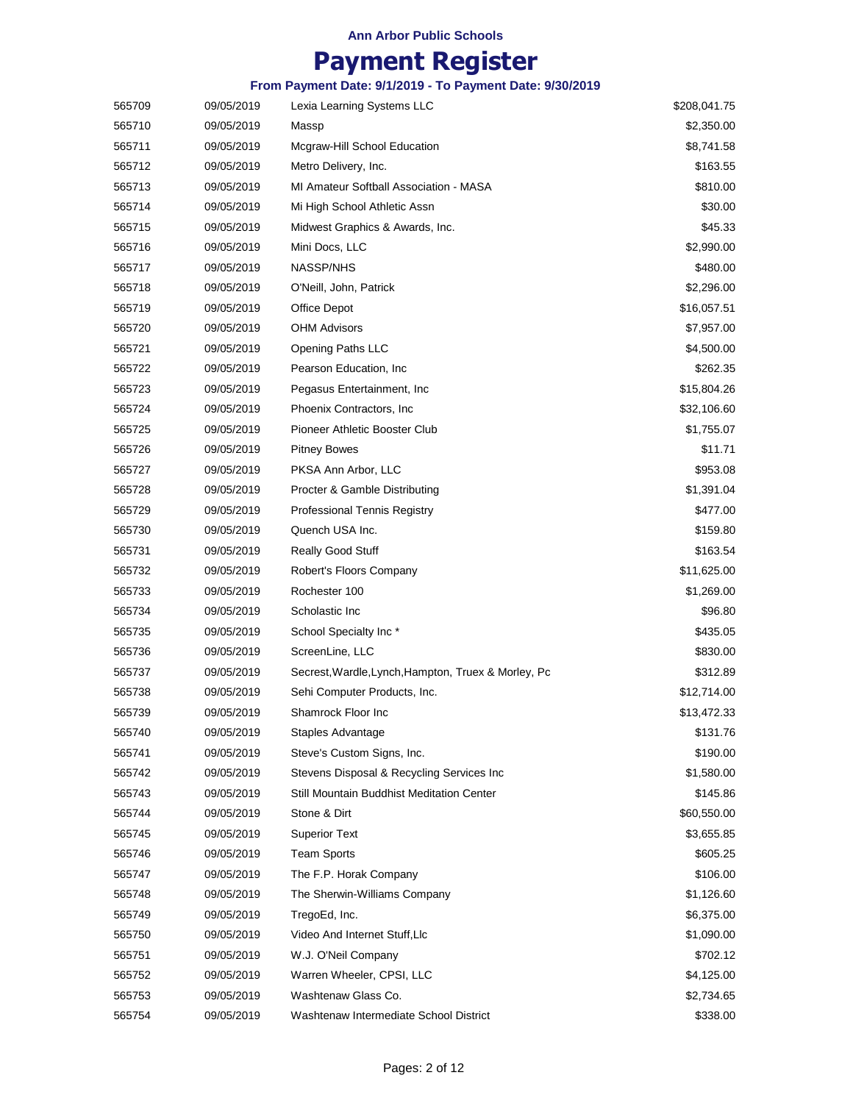|        |            | From Payment Date: 9/1/2019 - To Payment Date: 9/30/2019 |              |
|--------|------------|----------------------------------------------------------|--------------|
| 565709 | 09/05/2019 | Lexia Learning Systems LLC                               | \$208,041.75 |
| 565710 | 09/05/2019 | Massp                                                    | \$2,350.00   |
| 565711 | 09/05/2019 | Mcgraw-Hill School Education                             | \$8,741.58   |
| 565712 | 09/05/2019 | Metro Delivery, Inc.                                     | \$163.55     |
| 565713 | 09/05/2019 | MI Amateur Softball Association - MASA                   | \$810.00     |
| 565714 | 09/05/2019 | Mi High School Athletic Assn                             | \$30.00      |
| 565715 | 09/05/2019 | Midwest Graphics & Awards, Inc.                          | \$45.33      |
| 565716 | 09/05/2019 | Mini Docs, LLC                                           | \$2,990.00   |
| 565717 | 09/05/2019 | <b>NASSP/NHS</b>                                         | \$480.00     |
| 565718 | 09/05/2019 | O'Neill, John, Patrick                                   | \$2,296.00   |
| 565719 | 09/05/2019 | Office Depot                                             | \$16,057.51  |
| 565720 | 09/05/2019 | <b>OHM Advisors</b>                                      | \$7,957.00   |
| 565721 | 09/05/2019 | <b>Opening Paths LLC</b>                                 | \$4,500.00   |
| 565722 | 09/05/2019 | Pearson Education, Inc.                                  | \$262.35     |
| 565723 | 09/05/2019 | Pegasus Entertainment, Inc.                              | \$15,804.26  |
| 565724 | 09/05/2019 | Phoenix Contractors, Inc.                                | \$32,106.60  |
| 565725 | 09/05/2019 | Pioneer Athletic Booster Club                            | \$1,755.07   |
| 565726 | 09/05/2019 | <b>Pitney Bowes</b>                                      | \$11.71      |
| 565727 | 09/05/2019 | PKSA Ann Arbor, LLC                                      | \$953.08     |
| 565728 | 09/05/2019 | Procter & Gamble Distributing                            | \$1,391.04   |
| 565729 | 09/05/2019 | <b>Professional Tennis Registry</b>                      | \$477.00     |
| 565730 | 09/05/2019 | Quench USA Inc.                                          | \$159.80     |
| 565731 | 09/05/2019 | <b>Really Good Stuff</b>                                 | \$163.54     |
| 565732 | 09/05/2019 | Robert's Floors Company                                  | \$11,625.00  |
| 565733 | 09/05/2019 | Rochester 100                                            | \$1,269.00   |
| 565734 | 09/05/2019 | Scholastic Inc                                           | \$96.80      |
| 565735 | 09/05/2019 | School Specialty Inc*                                    | \$435.05     |
| 565736 | 09/05/2019 | ScreenLine, LLC                                          | \$830.00     |
| 565737 | 09/05/2019 | Secrest, Wardle, Lynch, Hampton, Truex & Morley, Pc      | \$312.89     |
| 565738 | 09/05/2019 | Sehi Computer Products, Inc.                             | \$12,714.00  |
| 565739 | 09/05/2019 | Shamrock Floor Inc                                       | \$13,472.33  |
| 565740 | 09/05/2019 | Staples Advantage                                        | \$131.76     |
| 565741 | 09/05/2019 | Steve's Custom Signs, Inc.                               | \$190.00     |
| 565742 | 09/05/2019 | Stevens Disposal & Recycling Services Inc                | \$1,580.00   |
| 565743 | 09/05/2019 | Still Mountain Buddhist Meditation Center                | \$145.86     |
| 565744 | 09/05/2019 | Stone & Dirt                                             | \$60,550.00  |
| 565745 | 09/05/2019 | <b>Superior Text</b>                                     | \$3,655.85   |
| 565746 | 09/05/2019 | <b>Team Sports</b>                                       | \$605.25     |
| 565747 | 09/05/2019 | The F.P. Horak Company                                   | \$106.00     |
| 565748 | 09/05/2019 | The Sherwin-Williams Company                             | \$1,126.60   |
| 565749 | 09/05/2019 | TregoEd, Inc.                                            | \$6,375.00   |
| 565750 | 09/05/2019 | Video And Internet Stuff, Llc                            | \$1,090.00   |
| 565751 | 09/05/2019 | W.J. O'Neil Company                                      | \$702.12     |
| 565752 | 09/05/2019 | Warren Wheeler, CPSI, LLC                                | \$4,125.00   |
| 565753 | 09/05/2019 | Washtenaw Glass Co.                                      | \$2,734.65   |
| 565754 | 09/05/2019 | Washtenaw Intermediate School District                   | \$338.00     |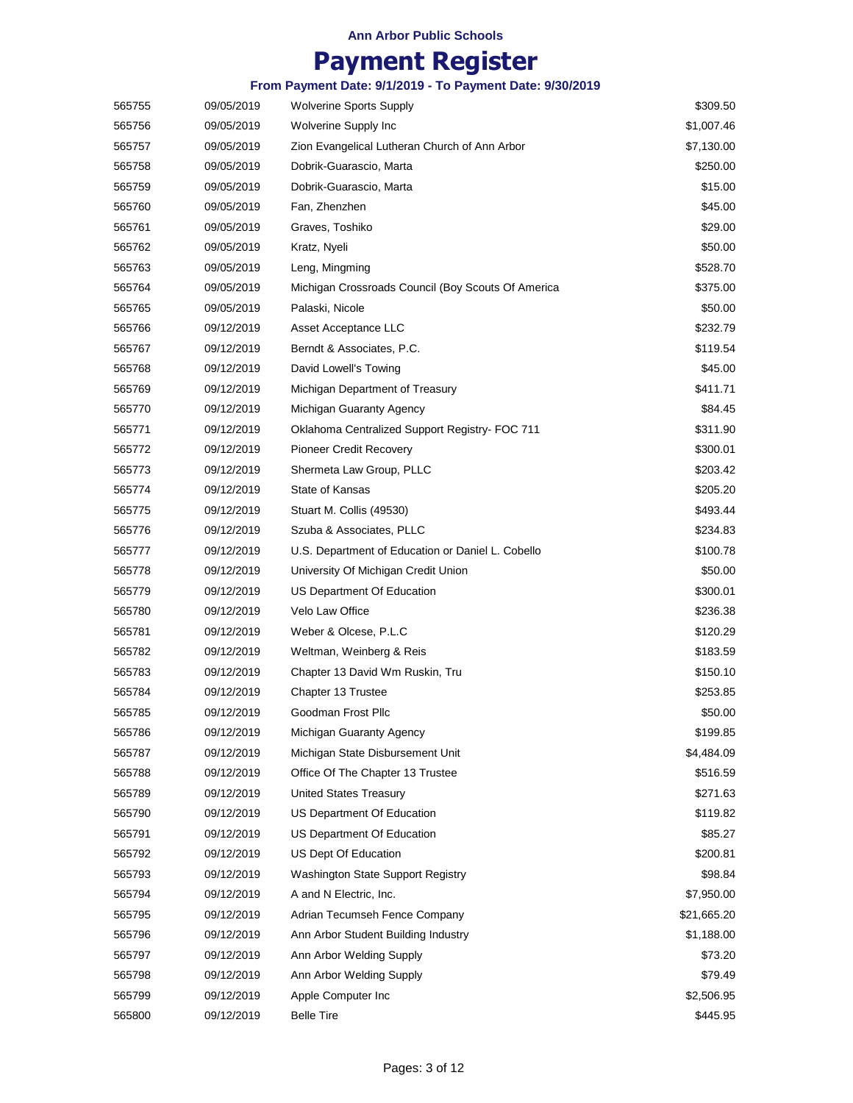# **Payment Register**

| 565755 | 09/05/2019 | <b>Wolverine Sports Supply</b>                     | \$309.50    |
|--------|------------|----------------------------------------------------|-------------|
| 565756 | 09/05/2019 | Wolverine Supply Inc                               | \$1,007.46  |
| 565757 | 09/05/2019 | Zion Evangelical Lutheran Church of Ann Arbor      | \$7,130.00  |
| 565758 | 09/05/2019 | Dobrik-Guarascio, Marta                            | \$250.00    |
| 565759 | 09/05/2019 | Dobrik-Guarascio, Marta                            | \$15.00     |
| 565760 | 09/05/2019 | Fan, Zhenzhen                                      | \$45.00     |
| 565761 | 09/05/2019 | Graves, Toshiko                                    | \$29.00     |
| 565762 | 09/05/2019 | Kratz, Nyeli                                       | \$50.00     |
| 565763 | 09/05/2019 | Leng, Mingming                                     | \$528.70    |
| 565764 | 09/05/2019 | Michigan Crossroads Council (Boy Scouts Of America | \$375.00    |
| 565765 | 09/05/2019 | Palaski, Nicole                                    | \$50.00     |
| 565766 | 09/12/2019 | Asset Acceptance LLC                               | \$232.79    |
| 565767 | 09/12/2019 | Berndt & Associates, P.C.                          | \$119.54    |
| 565768 | 09/12/2019 | David Lowell's Towing                              | \$45.00     |
| 565769 | 09/12/2019 | Michigan Department of Treasury                    | \$411.71    |
| 565770 | 09/12/2019 | Michigan Guaranty Agency                           | \$84.45     |
| 565771 | 09/12/2019 | Oklahoma Centralized Support Registry- FOC 711     | \$311.90    |
| 565772 | 09/12/2019 | <b>Pioneer Credit Recovery</b>                     | \$300.01    |
| 565773 | 09/12/2019 | Shermeta Law Group, PLLC                           | \$203.42    |
| 565774 | 09/12/2019 | State of Kansas                                    | \$205.20    |
| 565775 | 09/12/2019 | Stuart M. Collis (49530)                           | \$493.44    |
| 565776 | 09/12/2019 | Szuba & Associates, PLLC                           | \$234.83    |
| 565777 | 09/12/2019 | U.S. Department of Education or Daniel L. Cobello  | \$100.78    |
| 565778 | 09/12/2019 | University Of Michigan Credit Union                | \$50.00     |
| 565779 | 09/12/2019 | US Department Of Education                         | \$300.01    |
| 565780 | 09/12/2019 | Velo Law Office                                    | \$236.38    |
| 565781 | 09/12/2019 | Weber & Olcese, P.L.C                              | \$120.29    |
| 565782 | 09/12/2019 | Weltman, Weinberg & Reis                           | \$183.59    |
| 565783 | 09/12/2019 | Chapter 13 David Wm Ruskin, Tru                    | \$150.10    |
| 565784 | 09/12/2019 | Chapter 13 Trustee                                 | \$253.85    |
| 565785 | 09/12/2019 | Goodman Frost Pllc                                 | \$50.00     |
| 565786 | 09/12/2019 | Michigan Guaranty Agency                           | \$199.85    |
| 565787 | 09/12/2019 | Michigan State Disbursement Unit                   | \$4,484.09  |
| 565788 | 09/12/2019 | Office Of The Chapter 13 Trustee                   | \$516.59    |
| 565789 | 09/12/2019 | United States Treasury                             | \$271.63    |
| 565790 | 09/12/2019 | US Department Of Education                         | \$119.82    |
| 565791 | 09/12/2019 | US Department Of Education                         | \$85.27     |
| 565792 | 09/12/2019 | US Dept Of Education                               | \$200.81    |
| 565793 | 09/12/2019 | Washington State Support Registry                  | \$98.84     |
| 565794 | 09/12/2019 | A and N Electric, Inc.                             | \$7,950.00  |
| 565795 | 09/12/2019 | Adrian Tecumseh Fence Company                      | \$21,665.20 |
| 565796 | 09/12/2019 | Ann Arbor Student Building Industry                | \$1,188.00  |
| 565797 | 09/12/2019 | Ann Arbor Welding Supply                           | \$73.20     |
| 565798 | 09/12/2019 | Ann Arbor Welding Supply                           | \$79.49     |
| 565799 | 09/12/2019 | Apple Computer Inc                                 | \$2,506.95  |
| 565800 | 09/12/2019 | <b>Belle Tire</b>                                  | \$445.95    |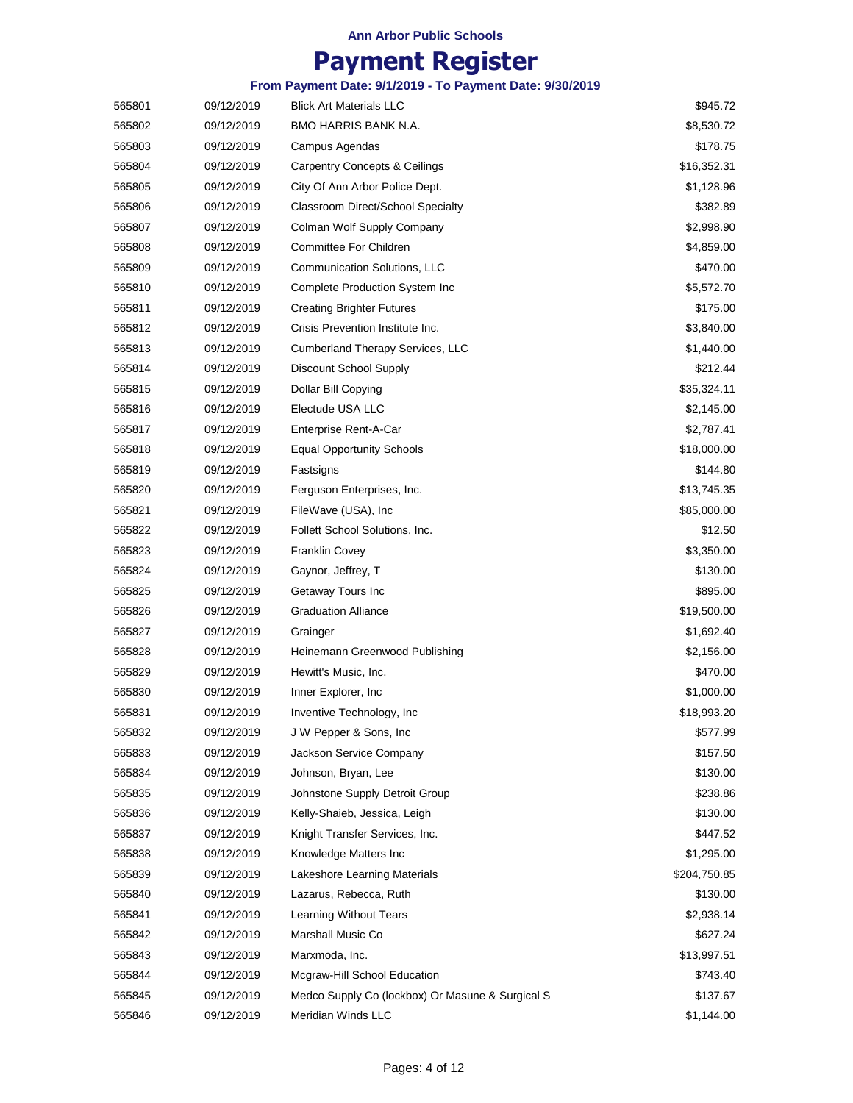## **Payment Register**

|        |            | From Payment Date: 9/1/2019 - To Payment Date: 9/30/2019 |              |
|--------|------------|----------------------------------------------------------|--------------|
| 565801 | 09/12/2019 | <b>Blick Art Materials LLC</b>                           | \$945.72     |
| 565802 | 09/12/2019 | BMO HARRIS BANK N.A.                                     | \$8,530.72   |
| 565803 | 09/12/2019 | Campus Agendas                                           | \$178.75     |
| 565804 | 09/12/2019 | <b>Carpentry Concepts &amp; Ceilings</b>                 | \$16,352.31  |
| 565805 | 09/12/2019 | City Of Ann Arbor Police Dept.                           | \$1,128.96   |
| 565806 | 09/12/2019 | Classroom Direct/School Specialty                        | \$382.89     |
| 565807 | 09/12/2019 | Colman Wolf Supply Company                               | \$2,998.90   |
| 565808 | 09/12/2019 | Committee For Children                                   | \$4,859.00   |
| 565809 | 09/12/2019 | Communication Solutions, LLC                             | \$470.00     |
| 565810 | 09/12/2019 | Complete Production System Inc                           | \$5,572.70   |
| 565811 | 09/12/2019 | <b>Creating Brighter Futures</b>                         | \$175.00     |
| 565812 | 09/12/2019 | Crisis Prevention Institute Inc.                         | \$3,840.00   |
| 565813 | 09/12/2019 | Cumberland Therapy Services, LLC                         | \$1,440.00   |
| 565814 | 09/12/2019 | Discount School Supply                                   | \$212.44     |
| 565815 | 09/12/2019 | Dollar Bill Copying                                      | \$35,324.11  |
| 565816 | 09/12/2019 | Electude USA LLC                                         | \$2,145.00   |
| 565817 | 09/12/2019 | Enterprise Rent-A-Car                                    | \$2,787.41   |
| 565818 | 09/12/2019 | <b>Equal Opportunity Schools</b>                         | \$18,000.00  |
| 565819 | 09/12/2019 | Fastsigns                                                | \$144.80     |
| 565820 | 09/12/2019 | Ferguson Enterprises, Inc.                               | \$13,745.35  |
| 565821 | 09/12/2019 | FileWave (USA), Inc                                      | \$85,000.00  |
| 565822 | 09/12/2019 | Follett School Solutions, Inc.                           | \$12.50      |
| 565823 | 09/12/2019 | <b>Franklin Covey</b>                                    | \$3,350.00   |
| 565824 | 09/12/2019 | Gaynor, Jeffrey, T                                       | \$130.00     |
| 565825 | 09/12/2019 | Getaway Tours Inc                                        | \$895.00     |
| 565826 | 09/12/2019 | <b>Graduation Alliance</b>                               | \$19,500.00  |
| 565827 | 09/12/2019 | Grainger                                                 | \$1,692.40   |
| 565828 | 09/12/2019 | Heinemann Greenwood Publishing                           | \$2,156.00   |
| 565829 | 09/12/2019 | Hewitt's Music, Inc.                                     | \$470.00     |
| 565830 | 09/12/2019 | Inner Explorer, Inc.                                     | \$1,000.00   |
| 565831 | 09/12/2019 | Inventive Technology, Inc.                               | \$18,993.20  |
| 565832 | 09/12/2019 | J W Pepper & Sons, Inc.                                  | \$577.99     |
| 565833 | 09/12/2019 | Jackson Service Company                                  | \$157.50     |
| 565834 | 09/12/2019 | Johnson, Bryan, Lee                                      | \$130.00     |
| 565835 | 09/12/2019 | Johnstone Supply Detroit Group                           | \$238.86     |
| 565836 | 09/12/2019 | Kelly-Shaieb, Jessica, Leigh                             | \$130.00     |
| 565837 | 09/12/2019 | Knight Transfer Services, Inc.                           | \$447.52     |
| 565838 | 09/12/2019 | Knowledge Matters Inc                                    | \$1,295.00   |
| 565839 | 09/12/2019 | Lakeshore Learning Materials                             | \$204,750.85 |
| 565840 | 09/12/2019 | Lazarus, Rebecca, Ruth                                   | \$130.00     |
| 565841 | 09/12/2019 | Learning Without Tears                                   | \$2,938.14   |
| 565842 | 09/12/2019 | Marshall Music Co                                        | \$627.24     |
| 565843 | 09/12/2019 | Marxmoda, Inc.                                           | \$13,997.51  |
| 565844 | 09/12/2019 | Mcgraw-Hill School Education                             | \$743.40     |
| 565845 | 09/12/2019 | Medco Supply Co (lockbox) Or Masune & Surgical S         | \$137.67     |
|        |            |                                                          |              |

[565846](javascript:void(window.open() 09/12/2019 \$1,144.00 Meridian Winds LLC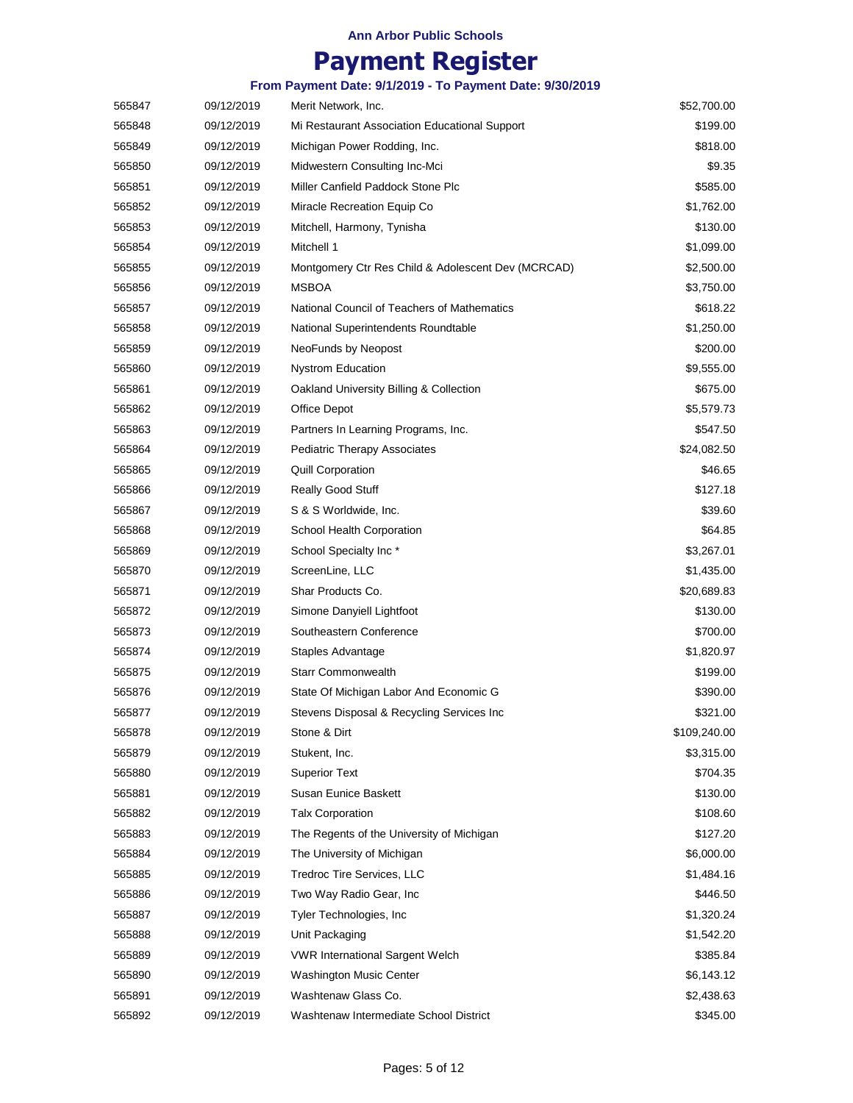|        |            | From Payment Date: 9/1/2019 - To Payment Date: 9/30/2019 |              |
|--------|------------|----------------------------------------------------------|--------------|
| 565847 | 09/12/2019 | Merit Network, Inc.                                      | \$52,700.00  |
| 565848 | 09/12/2019 | Mi Restaurant Association Educational Support            | \$199.00     |
| 565849 | 09/12/2019 | Michigan Power Rodding, Inc.                             | \$818.00     |
| 565850 | 09/12/2019 | Midwestern Consulting Inc-Mci                            | \$9.35       |
| 565851 | 09/12/2019 | Miller Canfield Paddock Stone Plc                        | \$585.00     |
| 565852 | 09/12/2019 | Miracle Recreation Equip Co                              | \$1,762.00   |
| 565853 | 09/12/2019 | Mitchell, Harmony, Tynisha                               | \$130.00     |
| 565854 | 09/12/2019 | Mitchell 1                                               | \$1,099.00   |
| 565855 | 09/12/2019 | Montgomery Ctr Res Child & Adolescent Dev (MCRCAD)       | \$2,500.00   |
| 565856 | 09/12/2019 | <b>MSBOA</b>                                             | \$3,750.00   |
| 565857 | 09/12/2019 | National Council of Teachers of Mathematics              | \$618.22     |
| 565858 | 09/12/2019 | National Superintendents Roundtable                      | \$1,250.00   |
| 565859 | 09/12/2019 | NeoFunds by Neopost                                      | \$200.00     |
| 565860 | 09/12/2019 | <b>Nystrom Education</b>                                 | \$9,555.00   |
| 565861 | 09/12/2019 | Oakland University Billing & Collection                  | \$675.00     |
| 565862 | 09/12/2019 | Office Depot                                             | \$5,579.73   |
| 565863 | 09/12/2019 | Partners In Learning Programs, Inc.                      | \$547.50     |
| 565864 | 09/12/2019 | <b>Pediatric Therapy Associates</b>                      | \$24,082.50  |
| 565865 | 09/12/2019 | <b>Quill Corporation</b>                                 | \$46.65      |
| 565866 | 09/12/2019 | <b>Really Good Stuff</b>                                 | \$127.18     |
| 565867 | 09/12/2019 | S & S Worldwide, Inc.                                    | \$39.60      |
| 565868 | 09/12/2019 | School Health Corporation                                | \$64.85      |
| 565869 | 09/12/2019 | School Specialty Inc*                                    | \$3,267.01   |
| 565870 | 09/12/2019 | ScreenLine, LLC                                          | \$1,435.00   |
| 565871 | 09/12/2019 | Shar Products Co.                                        | \$20,689.83  |
| 565872 | 09/12/2019 | Simone Danyiell Lightfoot                                | \$130.00     |
| 565873 | 09/12/2019 | Southeastern Conference                                  | \$700.00     |
| 565874 | 09/12/2019 | Staples Advantage                                        | \$1,820.97   |
| 565875 | 09/12/2019 | <b>Starr Commonwealth</b>                                | \$199.00     |
| 565876 | 09/12/2019 | State Of Michigan Labor And Economic G                   | \$390.00     |
| 565877 | 09/12/2019 | Stevens Disposal & Recycling Services Inc                | \$321.00     |
| 565878 | 09/12/2019 | Stone & Dirt                                             | \$109,240.00 |
| 565879 | 09/12/2019 | Stukent, Inc.                                            | \$3,315.00   |
| 565880 | 09/12/2019 | <b>Superior Text</b>                                     | \$704.35     |
| 565881 | 09/12/2019 | <b>Susan Eunice Baskett</b>                              | \$130.00     |
| 565882 | 09/12/2019 | <b>Talx Corporation</b>                                  | \$108.60     |
| 565883 | 09/12/2019 | The Regents of the University of Michigan                | \$127.20     |
| 565884 | 09/12/2019 | The University of Michigan                               | \$6,000.00   |
| 565885 | 09/12/2019 | Tredroc Tire Services, LLC                               | \$1,484.16   |
| 565886 | 09/12/2019 | Two Way Radio Gear, Inc.                                 | \$446.50     |
| 565887 | 09/12/2019 | Tyler Technologies, Inc.                                 | \$1,320.24   |
| 565888 | 09/12/2019 | Unit Packaging                                           | \$1,542.20   |
| 565889 | 09/12/2019 | <b>VWR International Sargent Welch</b>                   | \$385.84     |
| 565890 | 09/12/2019 | <b>Washington Music Center</b>                           | \$6,143.12   |
| 565891 | 09/12/2019 | Washtenaw Glass Co.                                      | \$2,438.63   |
| 565892 | 09/12/2019 | Washtenaw Intermediate School District                   | \$345.00     |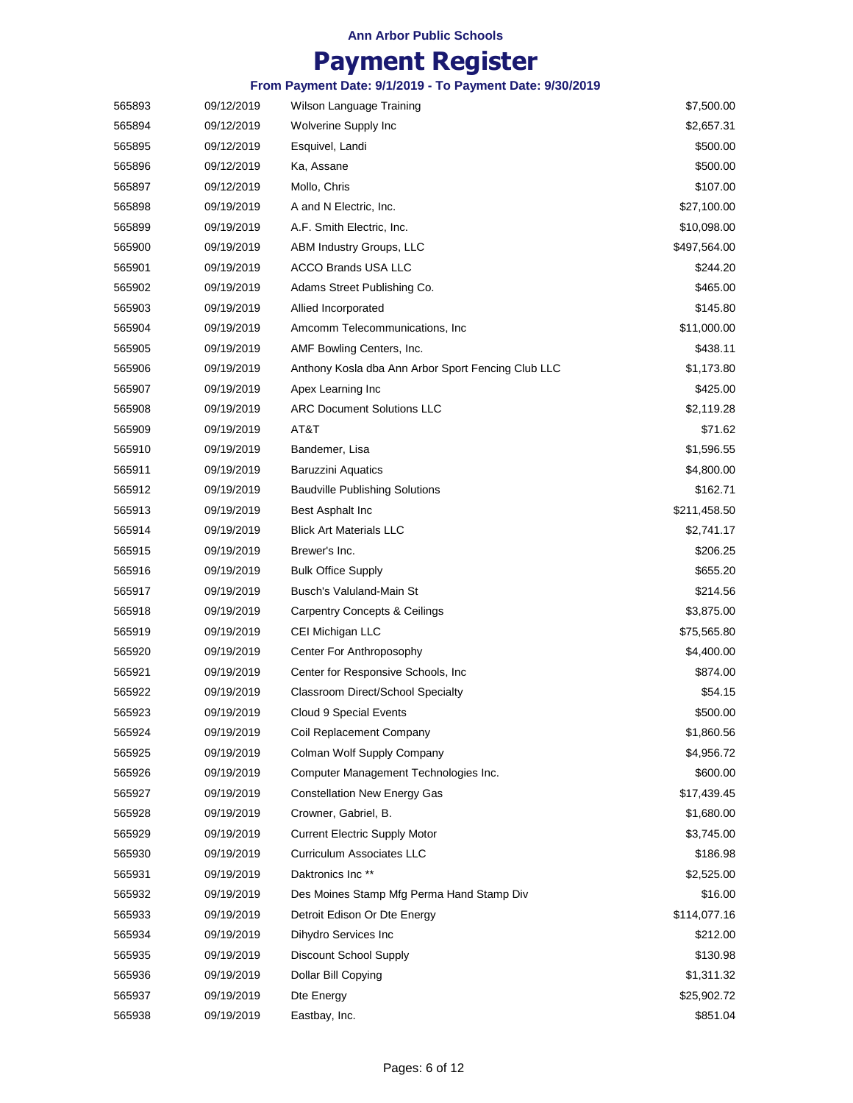|        |            | From Payment Date: 9/1/2019 - To Payment Date: 9/30/2019 |              |
|--------|------------|----------------------------------------------------------|--------------|
| 565893 | 09/12/2019 | Wilson Language Training                                 | \$7,500.00   |
| 565894 | 09/12/2019 | Wolverine Supply Inc                                     | \$2,657.31   |
| 565895 | 09/12/2019 | Esquivel, Landi                                          | \$500.00     |
| 565896 | 09/12/2019 | Ka, Assane                                               | \$500.00     |
| 565897 | 09/12/2019 | Mollo, Chris                                             | \$107.00     |
| 565898 | 09/19/2019 | A and N Electric, Inc.                                   | \$27,100.00  |
| 565899 | 09/19/2019 | A.F. Smith Electric, Inc.                                | \$10,098.00  |
| 565900 | 09/19/2019 | ABM Industry Groups, LLC                                 | \$497,564.00 |
| 565901 | 09/19/2019 | <b>ACCO Brands USA LLC</b>                               | \$244.20     |
| 565902 | 09/19/2019 | Adams Street Publishing Co.                              | \$465.00     |
| 565903 | 09/19/2019 | Allied Incorporated                                      | \$145.80     |
| 565904 | 09/19/2019 | Amcomm Telecommunications, Inc.                          | \$11,000.00  |
| 565905 | 09/19/2019 | AMF Bowling Centers, Inc.                                | \$438.11     |
| 565906 | 09/19/2019 | Anthony Kosla dba Ann Arbor Sport Fencing Club LLC       | \$1,173.80   |
| 565907 | 09/19/2019 | Apex Learning Inc                                        | \$425.00     |
| 565908 | 09/19/2019 | <b>ARC Document Solutions LLC</b>                        | \$2,119.28   |
| 565909 | 09/19/2019 | AT&T                                                     | \$71.62      |
| 565910 | 09/19/2019 | Bandemer, Lisa                                           | \$1,596.55   |
| 565911 | 09/19/2019 | <b>Baruzzini Aquatics</b>                                | \$4,800.00   |
| 565912 | 09/19/2019 | <b>Baudville Publishing Solutions</b>                    | \$162.71     |
| 565913 | 09/19/2019 | Best Asphalt Inc                                         | \$211,458.50 |
| 565914 | 09/19/2019 | <b>Blick Art Materials LLC</b>                           | \$2,741.17   |
| 565915 | 09/19/2019 | Brewer's Inc.                                            | \$206.25     |
| 565916 | 09/19/2019 | <b>Bulk Office Supply</b>                                | \$655.20     |
| 565917 | 09/19/2019 | Busch's Valuland-Main St                                 | \$214.56     |
| 565918 | 09/19/2019 | <b>Carpentry Concepts &amp; Ceilings</b>                 | \$3,875.00   |
| 565919 | 09/19/2019 | CEI Michigan LLC                                         | \$75,565.80  |
| 565920 | 09/19/2019 | Center For Anthroposophy                                 | \$4,400.00   |
| 565921 | 09/19/2019 | Center for Responsive Schools, Inc.                      | \$874.00     |
| 565922 | 09/19/2019 | <b>Classroom Direct/School Specialty</b>                 | \$54.15      |
| 565923 | 09/19/2019 | Cloud 9 Special Events                                   | \$500.00     |
| 565924 | 09/19/2019 | Coil Replacement Company                                 | \$1,860.56   |
| 565925 | 09/19/2019 | Colman Wolf Supply Company                               | \$4,956.72   |
| 565926 | 09/19/2019 | Computer Management Technologies Inc.                    | \$600.00     |
| 565927 | 09/19/2019 | <b>Constellation New Energy Gas</b>                      | \$17,439.45  |
| 565928 | 09/19/2019 | Crowner, Gabriel, B.                                     | \$1,680.00   |
| 565929 | 09/19/2019 | <b>Current Electric Supply Motor</b>                     | \$3,745.00   |
| 565930 | 09/19/2019 | <b>Curriculum Associates LLC</b>                         | \$186.98     |
| 565931 | 09/19/2019 | Daktronics Inc**                                         | \$2,525.00   |
| 565932 | 09/19/2019 | Des Moines Stamp Mfg Perma Hand Stamp Div                | \$16.00      |
| 565933 | 09/19/2019 | Detroit Edison Or Dte Energy                             | \$114,077.16 |
| 565934 | 09/19/2019 | Dihydro Services Inc                                     | \$212.00     |
| 565935 | 09/19/2019 | Discount School Supply                                   | \$130.98     |
| 565936 | 09/19/2019 | Dollar Bill Copying                                      | \$1,311.32   |
| 565937 | 09/19/2019 | Dte Energy                                               | \$25,902.72  |
| 565938 | 09/19/2019 | Eastbay, Inc.                                            | \$851.04     |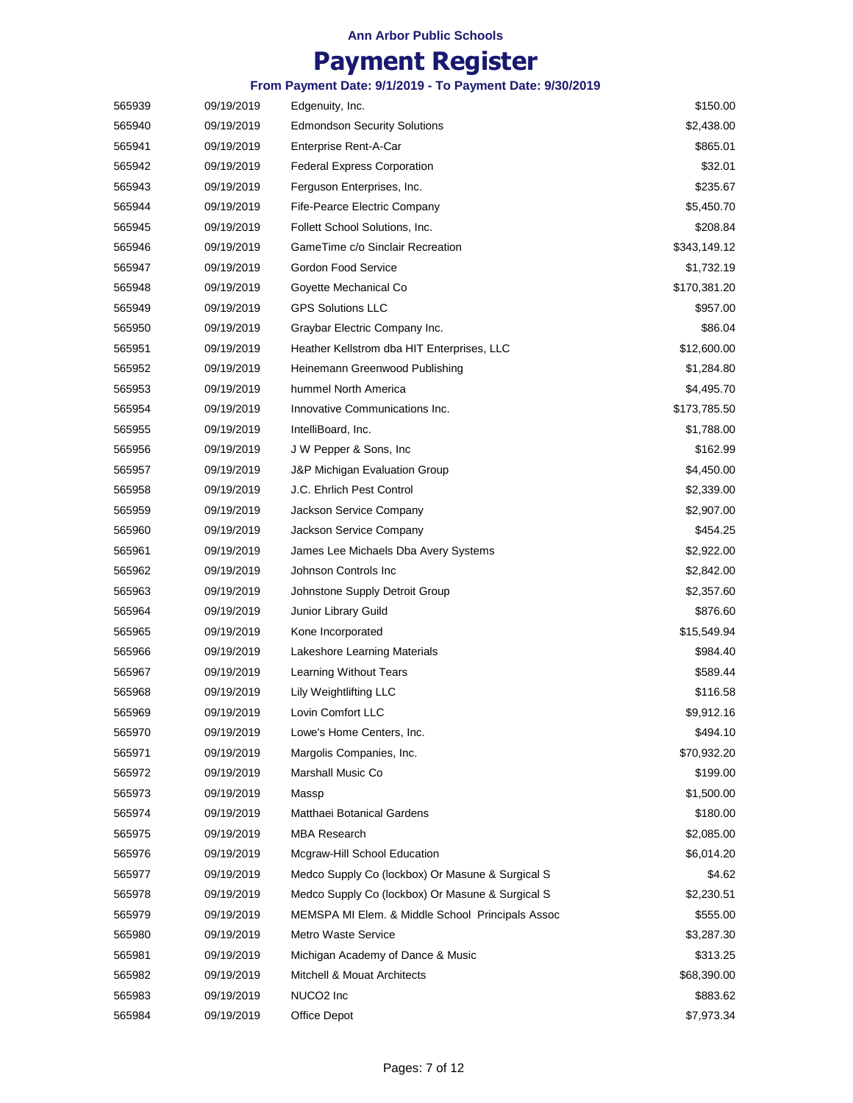## **Payment Register**

|        |            | Payment Register                                         |              |
|--------|------------|----------------------------------------------------------|--------------|
|        |            | From Payment Date: 9/1/2019 - To Payment Date: 9/30/2019 |              |
| 565939 | 09/19/2019 | Edgenuity, Inc.                                          | \$150.00     |
| 565940 | 09/19/2019 | <b>Edmondson Security Solutions</b>                      | \$2,438.00   |
| 565941 | 09/19/2019 | Enterprise Rent-A-Car                                    | \$865.01     |
| 565942 | 09/19/2019 | <b>Federal Express Corporation</b>                       | \$32.01      |
| 565943 | 09/19/2019 | Ferguson Enterprises, Inc.                               | \$235.67     |
| 565944 | 09/19/2019 | Fife-Pearce Electric Company                             | \$5,450.70   |
| 565945 | 09/19/2019 | Follett School Solutions, Inc.                           | \$208.84     |
| 565946 | 09/19/2019 | GameTime c/o Sinclair Recreation                         | \$343,149.12 |
| 565947 | 09/19/2019 | Gordon Food Service                                      | \$1,732.19   |
| 565948 | 09/19/2019 | Goyette Mechanical Co                                    | \$170,381.20 |
| 565949 | 09/19/2019 | <b>GPS Solutions LLC</b>                                 | \$957.00     |
| 565950 | 09/19/2019 | Graybar Electric Company Inc.                            | \$86.04      |
| 565951 | 09/19/2019 | Heather Kellstrom dba HIT Enterprises, LLC               | \$12,600.00  |
| 565952 | 09/19/2019 | Heinemann Greenwood Publishing                           | \$1,284.80   |
| 565953 | 09/19/2019 | hummel North America                                     | \$4,495.70   |
| 565954 | 09/19/2019 | Innovative Communications Inc.                           | \$173,785.50 |
| 565955 | 09/19/2019 | IntelliBoard, Inc.                                       | \$1,788.00   |
| 565956 | 09/19/2019 | J W Pepper & Sons, Inc                                   | \$162.99     |
| 565957 | 09/19/2019 | J&P Michigan Evaluation Group                            | \$4,450.00   |
| 565958 | 09/19/2019 | J.C. Ehrlich Pest Control                                | \$2,339.00   |
| 565959 | 09/19/2019 | Jackson Service Company                                  | \$2,907.00   |
| 565960 | 09/19/2019 | Jackson Service Company                                  | \$454.25     |
| 565961 | 09/19/2019 | James Lee Michaels Dba Avery Systems                     | \$2,922.00   |
| 565962 | 09/19/2019 | Johnson Controls Inc                                     | \$2,842.00   |
| 565963 | 09/19/2019 | Johnstone Supply Detroit Group                           | \$2,357.60   |
| 565964 | 09/19/2019 | Junior Library Guild                                     | \$876.60     |
| 565965 | 09/19/2019 | Kone Incorporated                                        | \$15,549.94  |
| 565966 | 09/19/2019 | Lakeshore Learning Materials                             | \$984.40     |
| 565967 | 09/19/2019 | Learning Without Tears                                   | \$589.44     |

 09/19/2019 Lily Weightlifting LLC \$116.58 09/19/2019 \$9,912.16 Lovin Comfort LLC 09/19/2019 \$494.10 Lowe's Home Centers, Inc. 09/19/2019 \$70,932.20 Margolis Companies, Inc. 09/19/2019 \$199.00 Marshall Music Co 09/19/2019 \$1,500.00 09/19/2019 \$180.00 Matthaei Botanical Gardens 09/19/2019 \$2,085.00 MBA Research 09/19/2019 \$6,014.20 Mcgraw-Hill School Education 09/19/2019 \$4.62 Medco Supply Co (lockbox) Or Masune & Surgical S 09/19/2019 \$2,230.51 Medco Supply Co (lockbox) Or Masune & Surgical S 09/19/2019 \$555.00 MEMSPA MI Elem. & Middle School Principals Assoc 09/19/2019 \$3,287.30 Metro Waste Service 09/19/2019 Michigan Academy of Dance & Music \$313.25 09/19/2019 \$68,390.00 Mitchell & Mouat Architects 09/19/2019 NUCO2 Inc \$883.62 09/19/2019 Office Depot \$7,973.34

NUCO2 Inc Office Depot

Massp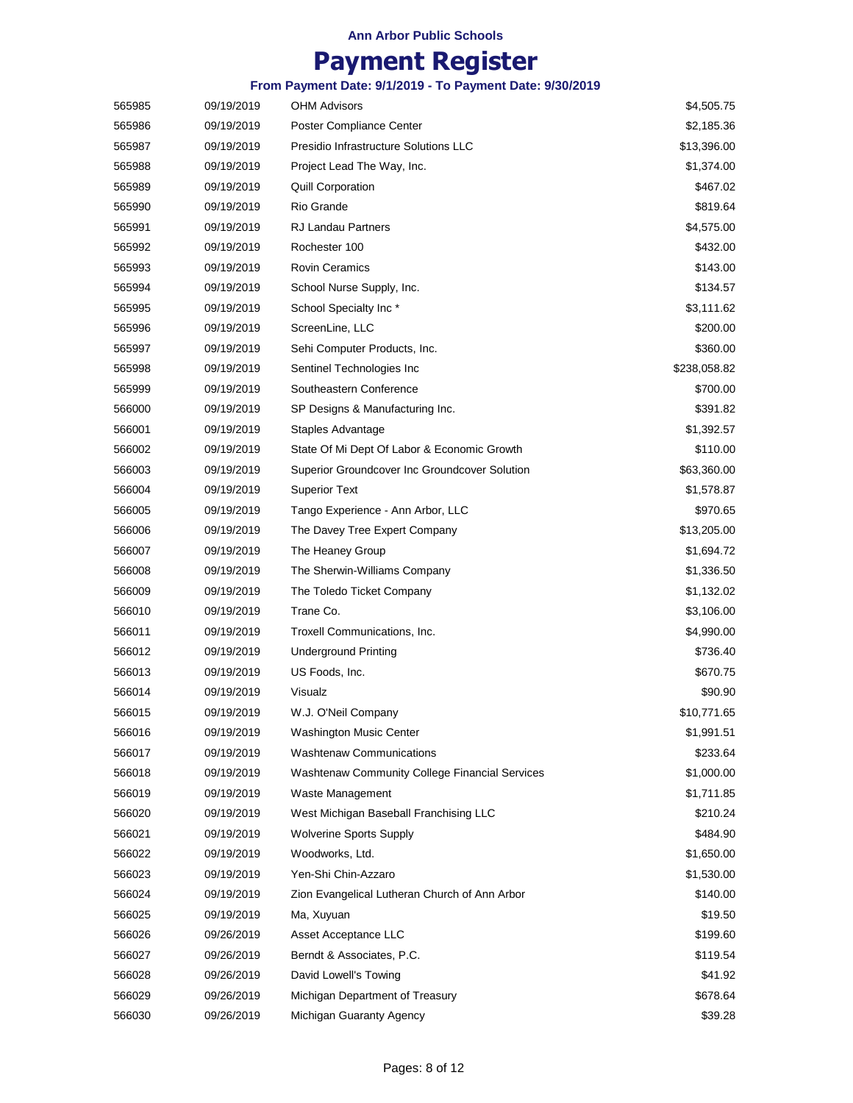# **Payment Register**

| 565985 | 09/19/2019 | <b>OHM Advisors</b>                            | \$4,505.75   |
|--------|------------|------------------------------------------------|--------------|
| 565986 | 09/19/2019 | Poster Compliance Center                       | \$2,185.36   |
| 565987 | 09/19/2019 | Presidio Infrastructure Solutions LLC          | \$13,396.00  |
| 565988 | 09/19/2019 | Project Lead The Way, Inc.                     | \$1,374.00   |
| 565989 | 09/19/2019 | <b>Quill Corporation</b>                       | \$467.02     |
| 565990 | 09/19/2019 | Rio Grande                                     | \$819.64     |
| 565991 | 09/19/2019 | <b>RJ Landau Partners</b>                      | \$4,575.00   |
| 565992 | 09/19/2019 | Rochester 100                                  | \$432.00     |
| 565993 | 09/19/2019 | <b>Rovin Ceramics</b>                          | \$143.00     |
| 565994 | 09/19/2019 | School Nurse Supply, Inc.                      | \$134.57     |
| 565995 | 09/19/2019 | School Specialty Inc*                          | \$3,111.62   |
| 565996 | 09/19/2019 | ScreenLine, LLC                                | \$200.00     |
| 565997 | 09/19/2019 | Sehi Computer Products, Inc.                   | \$360.00     |
| 565998 | 09/19/2019 | Sentinel Technologies Inc                      | \$238,058.82 |
| 565999 | 09/19/2019 | Southeastern Conference                        | \$700.00     |
| 566000 | 09/19/2019 | SP Designs & Manufacturing Inc.                | \$391.82     |
| 566001 | 09/19/2019 | Staples Advantage                              | \$1,392.57   |
| 566002 | 09/19/2019 | State Of Mi Dept Of Labor & Economic Growth    | \$110.00     |
| 566003 | 09/19/2019 | Superior Groundcover Inc Groundcover Solution  | \$63,360.00  |
| 566004 | 09/19/2019 | <b>Superior Text</b>                           | \$1,578.87   |
| 566005 | 09/19/2019 | Tango Experience - Ann Arbor, LLC              | \$970.65     |
| 566006 | 09/19/2019 | The Davey Tree Expert Company                  | \$13,205.00  |
| 566007 | 09/19/2019 | The Heaney Group                               | \$1,694.72   |
| 566008 | 09/19/2019 | The Sherwin-Williams Company                   | \$1,336.50   |
| 566009 | 09/19/2019 | The Toledo Ticket Company                      | \$1,132.02   |
| 566010 | 09/19/2019 | Trane Co.                                      | \$3,106.00   |
| 566011 | 09/19/2019 | Troxell Communications, Inc.                   | \$4,990.00   |
| 566012 | 09/19/2019 | <b>Underground Printing</b>                    | \$736.40     |
| 566013 | 09/19/2019 | US Foods, Inc.                                 | \$670.75     |
| 566014 | 09/19/2019 | Visualz                                        | \$90.90      |
| 566015 | 09/19/2019 | W.J. O'Neil Company                            | \$10,771.65  |
| 566016 | 09/19/2019 | <b>Washington Music Center</b>                 | \$1,991.51   |
| 566017 | 09/19/2019 | <b>Washtenaw Communications</b>                | \$233.64     |
| 566018 | 09/19/2019 | Washtenaw Community College Financial Services | \$1,000.00   |
| 566019 | 09/19/2019 | Waste Management                               | \$1,711.85   |
| 566020 | 09/19/2019 | West Michigan Baseball Franchising LLC         | \$210.24     |
| 566021 | 09/19/2019 | <b>Wolverine Sports Supply</b>                 | \$484.90     |
| 566022 | 09/19/2019 | Woodworks, Ltd.                                | \$1,650.00   |
| 566023 | 09/19/2019 | Yen-Shi Chin-Azzaro                            | \$1,530.00   |
| 566024 | 09/19/2019 | Zion Evangelical Lutheran Church of Ann Arbor  | \$140.00     |
| 566025 | 09/19/2019 | Ma, Xuyuan                                     | \$19.50      |
| 566026 | 09/26/2019 | Asset Acceptance LLC                           | \$199.60     |
| 566027 | 09/26/2019 | Berndt & Associates, P.C.                      | \$119.54     |
| 566028 | 09/26/2019 | David Lowell's Towing                          | \$41.92      |
| 566029 | 09/26/2019 | Michigan Department of Treasury                | \$678.64     |
| 566030 | 09/26/2019 | Michigan Guaranty Agency                       | \$39.28      |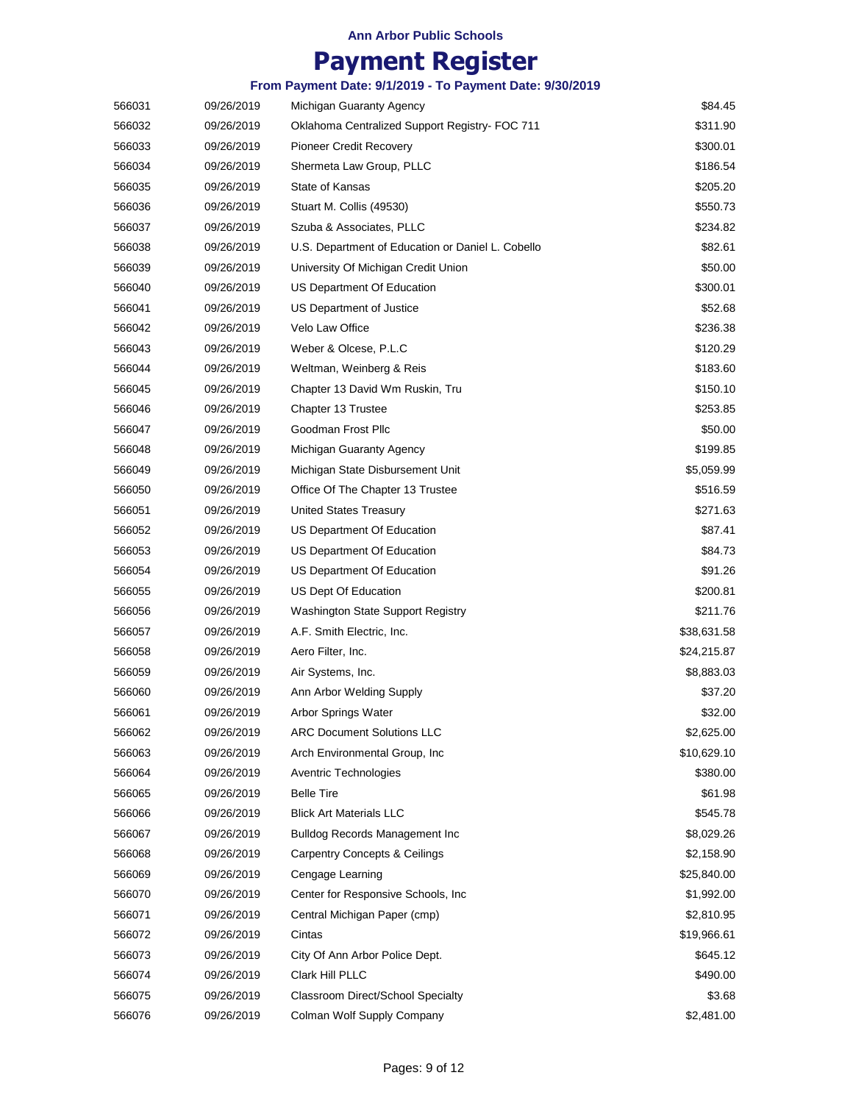|        |            | From Payment Date: 9/1/2019 - To Payment Date: 9/30/2019 |             |
|--------|------------|----------------------------------------------------------|-------------|
| 566031 | 09/26/2019 | Michigan Guaranty Agency                                 | \$84.45     |
| 566032 | 09/26/2019 | Oklahoma Centralized Support Registry- FOC 711           | \$311.90    |
| 566033 | 09/26/2019 | Pioneer Credit Recovery                                  | \$300.01    |
| 566034 | 09/26/2019 | Shermeta Law Group, PLLC                                 | \$186.54    |
| 566035 | 09/26/2019 | State of Kansas                                          | \$205.20    |
| 566036 | 09/26/2019 | Stuart M. Collis (49530)                                 | \$550.73    |
| 566037 | 09/26/2019 | Szuba & Associates, PLLC                                 | \$234.82    |
| 566038 | 09/26/2019 | U.S. Department of Education or Daniel L. Cobello        | \$82.61     |
| 566039 | 09/26/2019 | University Of Michigan Credit Union                      | \$50.00     |
| 566040 | 09/26/2019 | US Department Of Education                               | \$300.01    |
| 566041 | 09/26/2019 | US Department of Justice                                 | \$52.68     |
| 566042 | 09/26/2019 | Velo Law Office                                          | \$236.38    |
| 566043 | 09/26/2019 | Weber & Olcese, P.L.C                                    | \$120.29    |
| 566044 | 09/26/2019 | Weltman, Weinberg & Reis                                 | \$183.60    |
| 566045 | 09/26/2019 | Chapter 13 David Wm Ruskin, Tru                          | \$150.10    |
| 566046 | 09/26/2019 | Chapter 13 Trustee                                       | \$253.85    |
| 566047 | 09/26/2019 | Goodman Frost Pllc                                       | \$50.00     |
| 566048 | 09/26/2019 | Michigan Guaranty Agency                                 | \$199.85    |
| 566049 | 09/26/2019 | Michigan State Disbursement Unit                         | \$5,059.99  |
| 566050 | 09/26/2019 | Office Of The Chapter 13 Trustee                         | \$516.59    |
| 566051 | 09/26/2019 | United States Treasury                                   | \$271.63    |
| 566052 | 09/26/2019 | US Department Of Education                               | \$87.41     |
| 566053 | 09/26/2019 | US Department Of Education                               | \$84.73     |
| 566054 | 09/26/2019 | US Department Of Education                               | \$91.26     |
| 566055 | 09/26/2019 | US Dept Of Education                                     | \$200.81    |
| 566056 | 09/26/2019 | <b>Washington State Support Registry</b>                 | \$211.76    |
| 566057 | 09/26/2019 | A.F. Smith Electric, Inc.                                | \$38,631.58 |
| 566058 | 09/26/2019 | Aero Filter, Inc.                                        | \$24,215.87 |
| 566059 | 09/26/2019 | Air Systems, Inc.                                        | \$8,883.03  |
| 566060 | 09/26/2019 | Ann Arbor Welding Supply                                 | \$37.20     |
| 566061 | 09/26/2019 | Arbor Springs Water                                      | \$32.00     |
| 566062 | 09/26/2019 | <b>ARC Document Solutions LLC</b>                        | \$2,625.00  |
| 566063 | 09/26/2019 | Arch Environmental Group, Inc.                           | \$10,629.10 |
| 566064 | 09/26/2019 | <b>Aventric Technologies</b>                             | \$380.00    |
| 566065 | 09/26/2019 | <b>Belle Tire</b>                                        | \$61.98     |
| 566066 | 09/26/2019 | <b>Blick Art Materials LLC</b>                           | \$545.78    |
| 566067 | 09/26/2019 | <b>Bulldog Records Management Inc</b>                    | \$8,029.26  |
| 566068 | 09/26/2019 | <b>Carpentry Concepts &amp; Ceilings</b>                 | \$2,158.90  |
| 566069 | 09/26/2019 | Cengage Learning                                         | \$25,840.00 |
| 566070 | 09/26/2019 | Center for Responsive Schools, Inc.                      | \$1,992.00  |
| 566071 | 09/26/2019 | Central Michigan Paper (cmp)                             | \$2,810.95  |
| 566072 | 09/26/2019 | Cintas                                                   | \$19,966.61 |
| 566073 | 09/26/2019 | City Of Ann Arbor Police Dept.                           | \$645.12    |
| 566074 | 09/26/2019 | Clark Hill PLLC                                          | \$490.00    |
| 566075 | 09/26/2019 | Classroom Direct/School Specialty                        | \$3.68      |
| 566076 | 09/26/2019 | Colman Wolf Supply Company                               | \$2,481.00  |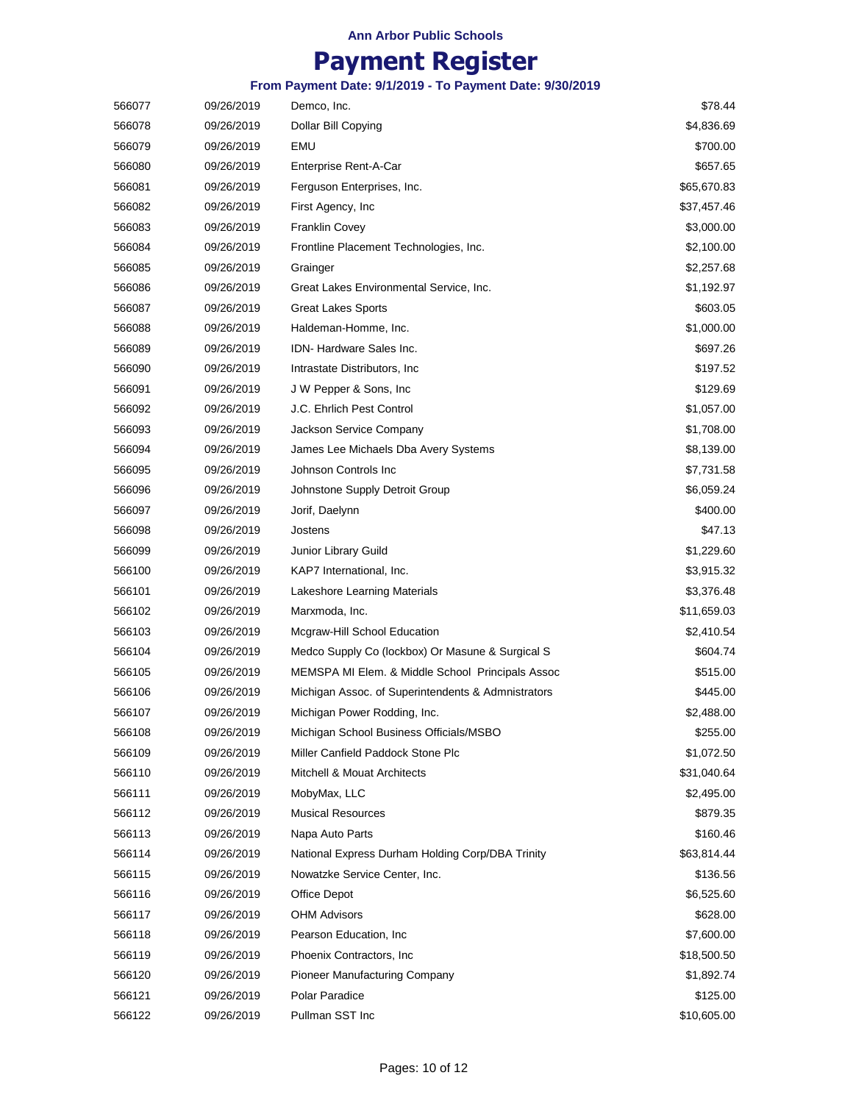# **Payment Register**

| 566077 | 09/26/2019 | Demco, Inc.                                        | \$78.44     |
|--------|------------|----------------------------------------------------|-------------|
| 566078 | 09/26/2019 | Dollar Bill Copying                                | \$4,836.69  |
| 566079 | 09/26/2019 | EMU                                                | \$700.00    |
| 566080 | 09/26/2019 | Enterprise Rent-A-Car                              | \$657.65    |
| 566081 | 09/26/2019 | Ferguson Enterprises, Inc.                         | \$65,670.83 |
| 566082 | 09/26/2019 | First Agency, Inc.                                 | \$37,457.46 |
| 566083 | 09/26/2019 | <b>Franklin Covey</b>                              | \$3,000.00  |
| 566084 | 09/26/2019 | Frontline Placement Technologies, Inc.             | \$2,100.00  |
| 566085 | 09/26/2019 | Grainger                                           | \$2,257.68  |
| 566086 | 09/26/2019 | Great Lakes Environmental Service, Inc.            | \$1,192.97  |
| 566087 | 09/26/2019 | <b>Great Lakes Sports</b>                          | \$603.05    |
| 566088 | 09/26/2019 | Haldeman-Homme, Inc.                               | \$1,000.00  |
| 566089 | 09/26/2019 | IDN-Hardware Sales Inc.                            | \$697.26    |
| 566090 | 09/26/2019 | Intrastate Distributors, Inc.                      | \$197.52    |
| 566091 | 09/26/2019 | J W Pepper & Sons, Inc.                            | \$129.69    |
| 566092 | 09/26/2019 | J.C. Ehrlich Pest Control                          | \$1,057.00  |
| 566093 | 09/26/2019 | Jackson Service Company                            | \$1,708.00  |
| 566094 | 09/26/2019 | James Lee Michaels Dba Avery Systems               | \$8,139.00  |
| 566095 | 09/26/2019 | Johnson Controls Inc                               | \$7,731.58  |
| 566096 | 09/26/2019 | Johnstone Supply Detroit Group                     | \$6,059.24  |
| 566097 | 09/26/2019 | Jorif, Daelynn                                     | \$400.00    |
| 566098 | 09/26/2019 | Jostens                                            | \$47.13     |
| 566099 | 09/26/2019 | Junior Library Guild                               | \$1,229.60  |
| 566100 | 09/26/2019 | KAP7 International, Inc.                           | \$3,915.32  |
| 566101 | 09/26/2019 | Lakeshore Learning Materials                       | \$3,376.48  |
| 566102 | 09/26/2019 | Marxmoda, Inc.                                     | \$11,659.03 |
| 566103 | 09/26/2019 | Mcgraw-Hill School Education                       | \$2,410.54  |
| 566104 | 09/26/2019 | Medco Supply Co (lockbox) Or Masune & Surgical S   | \$604.74    |
| 566105 | 09/26/2019 | MEMSPA MI Elem. & Middle School Principals Assoc   | \$515.00    |
| 566106 | 09/26/2019 | Michigan Assoc. of Superintendents & Admnistrators | \$445.00    |
| 566107 | 09/26/2019 | Michigan Power Rodding, Inc.                       | \$2,488.00  |
| 566108 | 09/26/2019 | Michigan School Business Officials/MSBO            | \$255.00    |
| 566109 | 09/26/2019 | Miller Canfield Paddock Stone Plc                  | \$1,072.50  |
| 566110 | 09/26/2019 | Mitchell & Mouat Architects                        | \$31,040.64 |
| 566111 | 09/26/2019 | MobyMax, LLC                                       | \$2,495.00  |
| 566112 | 09/26/2019 | <b>Musical Resources</b>                           | \$879.35    |
| 566113 | 09/26/2019 | Napa Auto Parts                                    | \$160.46    |
| 566114 | 09/26/2019 | National Express Durham Holding Corp/DBA Trinity   | \$63,814.44 |
| 566115 | 09/26/2019 | Nowatzke Service Center, Inc.                      | \$136.56    |
| 566116 | 09/26/2019 | Office Depot                                       | \$6,525.60  |
| 566117 | 09/26/2019 | <b>OHM Advisors</b>                                | \$628.00    |
| 566118 | 09/26/2019 | Pearson Education, Inc.                            | \$7,600.00  |
| 566119 | 09/26/2019 | Phoenix Contractors, Inc.                          | \$18,500.50 |
| 566120 | 09/26/2019 | <b>Pioneer Manufacturing Company</b>               | \$1,892.74  |
| 566121 | 09/26/2019 | Polar Paradice                                     | \$125.00    |
| 566122 | 09/26/2019 | Pullman SST Inc                                    | \$10,605.00 |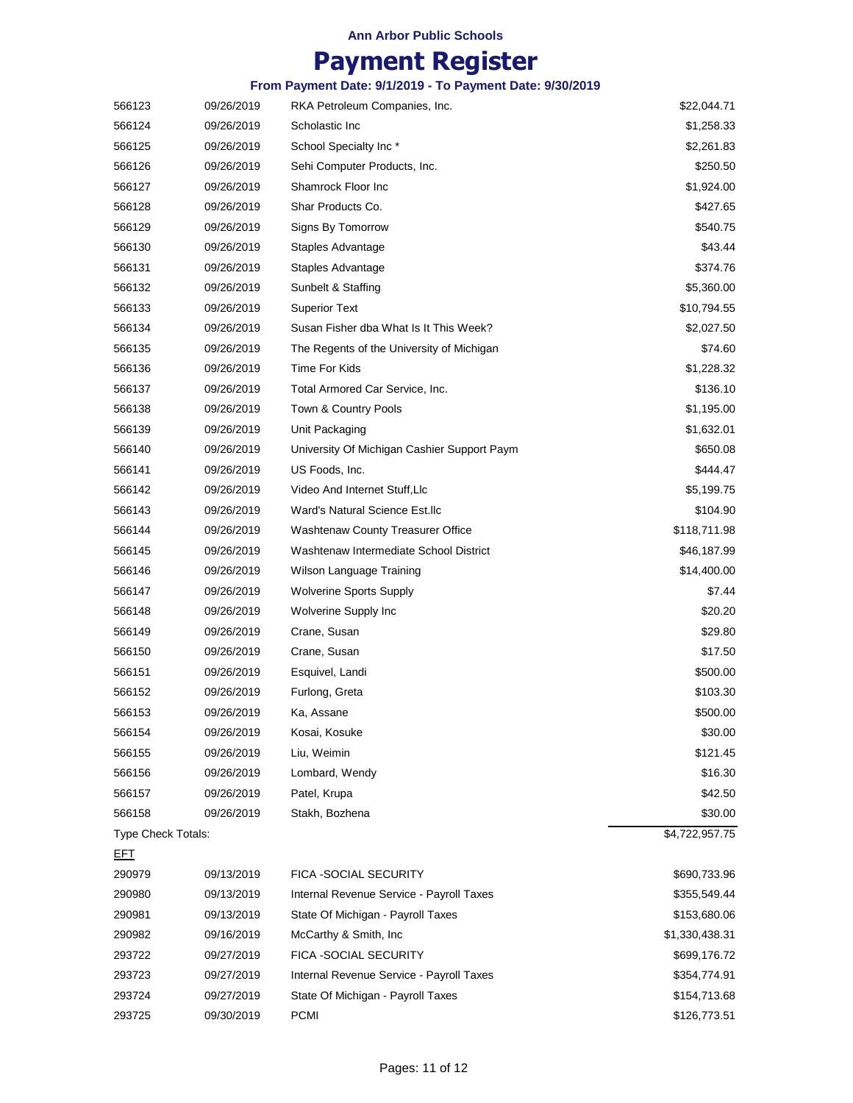|                    |            | From Payment Date: 9/1/2019 - To Payment Date: 9/30/2019 |                |
|--------------------|------------|----------------------------------------------------------|----------------|
| 566123             | 09/26/2019 | RKA Petroleum Companies, Inc.                            | \$22,044.71    |
| 566124             | 09/26/2019 | Scholastic Inc                                           | \$1,258.33     |
| 566125             | 09/26/2019 | School Specialty Inc*                                    | \$2,261.83     |
| 566126             | 09/26/2019 | Sehi Computer Products, Inc.                             | \$250.50       |
| 566127             | 09/26/2019 | Shamrock Floor Inc                                       | \$1,924.00     |
| 566128             | 09/26/2019 | Shar Products Co.                                        | \$427.65       |
| 566129             | 09/26/2019 | Signs By Tomorrow                                        | \$540.75       |
| 566130             | 09/26/2019 | Staples Advantage                                        | \$43.44        |
| 566131             | 09/26/2019 | Staples Advantage                                        | \$374.76       |
| 566132             | 09/26/2019 | Sunbelt & Staffing                                       | \$5,360.00     |
| 566133             | 09/26/2019 | <b>Superior Text</b>                                     | \$10,794.55    |
| 566134             | 09/26/2019 | Susan Fisher dba What Is It This Week?                   | \$2,027.50     |
| 566135             | 09/26/2019 | The Regents of the University of Michigan                | \$74.60        |
| 566136             | 09/26/2019 | <b>Time For Kids</b>                                     | \$1,228.32     |
| 566137             | 09/26/2019 | Total Armored Car Service, Inc.                          | \$136.10       |
| 566138             | 09/26/2019 | Town & Country Pools                                     | \$1,195.00     |
| 566139             | 09/26/2019 | Unit Packaging                                           | \$1,632.01     |
| 566140             | 09/26/2019 | University Of Michigan Cashier Support Paym              | \$650.08       |
| 566141             | 09/26/2019 | US Foods, Inc.                                           | \$444.47       |
| 566142             | 09/26/2019 | Video And Internet Stuff, Llc                            | \$5,199.75     |
| 566143             | 09/26/2019 | Ward's Natural Science Est.llc                           | \$104.90       |
| 566144             | 09/26/2019 | <b>Washtenaw County Treasurer Office</b>                 | \$118,711.98   |
| 566145             | 09/26/2019 | Washtenaw Intermediate School District                   | \$46,187.99    |
| 566146             | 09/26/2019 | Wilson Language Training                                 | \$14,400.00    |
| 566147             | 09/26/2019 | <b>Wolverine Sports Supply</b>                           | \$7.44         |
| 566148             | 09/26/2019 | Wolverine Supply Inc                                     | \$20.20        |
| 566149             | 09/26/2019 | Crane, Susan                                             | \$29.80        |
| 566150             | 09/26/2019 | Crane, Susan                                             | \$17.50        |
| 566151             | 09/26/2019 | Esquivel, Landi                                          | \$500.00       |
| 566152             | 09/26/2019 | Furlong, Greta                                           | \$103.30       |
| 566153             | 09/26/2019 | Ka, Assane                                               | \$500.00       |
| 566154             | 09/26/2019 | Kosai, Kosuke                                            | \$30.00        |
| 566155             | 09/26/2019 | Liu, Weimin                                              | \$121.45       |
| 566156             | 09/26/2019 | Lombard, Wendy                                           | \$16.30        |
| 566157             | 09/26/2019 | Patel, Krupa                                             | \$42.50        |
| 566158             | 09/26/2019 | Stakh, Bozhena                                           | \$30.00        |
| Type Check Totals: |            |                                                          | \$4,722,957.75 |
| <u>EFT</u>         |            |                                                          |                |
| 290979             | 09/13/2019 | FICA -SOCIAL SECURITY                                    | \$690,733.96   |
| 290980             | 09/13/2019 | Internal Revenue Service - Payroll Taxes                 | \$355,549.44   |
| 290981             | 09/13/2019 | State Of Michigan - Payroll Taxes                        | \$153,680.06   |
| 290982             | 09/16/2019 | McCarthy & Smith, Inc                                    | \$1,330,438.31 |
| 293722             | 09/27/2019 | FICA -SOCIAL SECURITY                                    | \$699,176.72   |
| 293723             | 09/27/2019 | Internal Revenue Service - Payroll Taxes                 | \$354,774.91   |
| 293724             | 09/27/2019 | State Of Michigan - Payroll Taxes                        | \$154,713.68   |
| 293725             | 09/30/2019 | <b>PCMI</b>                                              | \$126,773.51   |